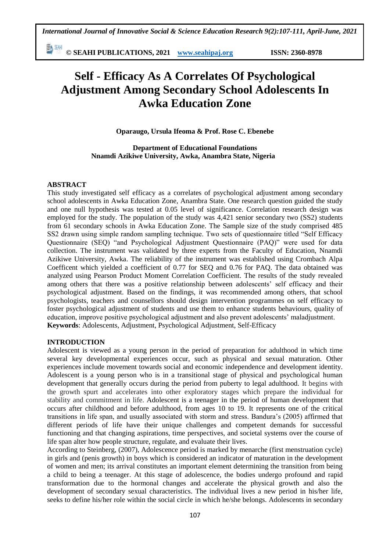新 SHI **© SEAHI PUBLICATIONS, 2021 [www.seahipaj.org](http://www.seahipaj.org/) ISSN: 2360-8978**

# **Self - Efficacy As A Correlates Of Psychological Adjustment Among Secondary School Adolescents In Awka Education Zone**

**Oparaugo, Ursula Ifeoma & Prof. Rose C. Ebenebe**

**Department of Educational Foundations Nnamdi Azikiwe University, Awka, Anambra State, Nigeria**

# **ABSTRACT**

This study investigated self efficacy as a correlates of psychological adjustment among secondary school adolescents in Awka Education Zone, Anambra State. One research question guided the study and one null hypothesis was tested at 0.05 level of significance. Correlation research design was employed for the study. The population of the study was 4,421 senior secondary two (SS2) students from 61 secondary schools in Awka Education Zone. The Sample size of the study comprised 485 SS2 drawn using simple random sampling technique. Two sets of questionnaire titled "Self Efficacy Questionnaire (SEQ) "and Psychological Adjustment Questionnaire (PAQ)" were used for data collection. The instrument was validated by three experts from the Faculty of Education, Nnamdi Azikiwe University, Awka. The reliability of the instrument was established using Crombach Alpa Coefficent which yielded a coefficient of 0.77 for SEQ and 0.76 for PAQ. The data obtained was analyzed using Pearson Product Moment Correlation Coefficient. The results of the study revealed among others that there was a positive relationship between adolescents' self efficacy and their psychological adjustment. Based on the findings, it was recommended among others, that school psychologists, teachers and counsellors should design intervention programmes on self efficacy to foster psychological adjustment of students and use them to enhance students behaviours, quality of education, improve positive psychological adjustment and also prevent adolescents" maladjustment. **Keywords**: Adolescents, Adjustment, Psychological Adjustment, Self-Efficacy

### **INTRODUCTION**

Adolescent is viewed as a young person in the period of preparation for adulthood in which time several key developmental experiences occur, such as physical and sexual maturation. Other experiences include movement towards social and economic independence and development identity. Adolescent is a young person who is in a transitional stage of physical and psychological human development that generally occurs during the period from puberty to legal adulthood. It begins with the growth spurt and accelerates into other exploratory stages which prepare the individual for stability and commitment in life. Adolescent is a teenager in the period of human development that occurs after childhood and before adulthood, from ages 10 to 19. It represents one of the critical transitions in life span, and usually associated with storm and stress. Bandura"s (2005) affirmed that different periods of life have their unique challenges and competent demands for successful functioning and that changing aspirations, time perspectives, and societal systems over the course of life span alter how people structure, regulate, and evaluate their lives.

According to Steinberg, (2007), Adolescence period is marked by menarche (first menstruation cycle) in girls and (penis growth) in boys which is considered an indicator of maturation in the development of women and men; its arrival constitutes an important element determining the transition from being a child to being a teenager. At this stage of adolescence, the bodies undergo profound and rapid transformation due to the hormonal changes and accelerate the physical growth and also the development of secondary sexual characteristics. The individual lives a new period in his/her life, seeks to define his/her role within the social circle in which he/she belongs. Adolescents in secondary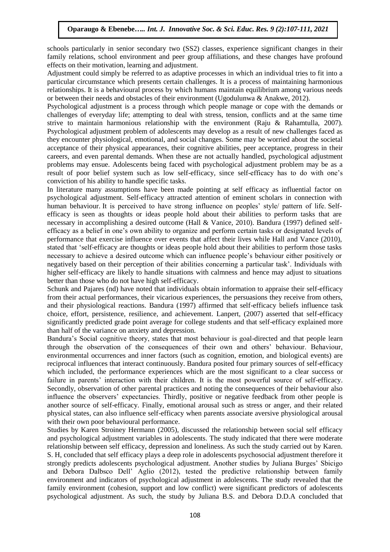schools particularly in senior secondary two (SS2) classes, experience significant changes in their family relations, school environment and peer group affiliations, and these changes have profound effects on their motivation, learning and adjustment.

Adjustment could simply be referred to as adaptive processes in which an individual tries to fit into a particular circumstance which presents certain challenges. It is a process of maintaining harmonious relationships. It is a behavioural process by which humans maintain equilibrium among various needs or between their needs and obstacles of their environment (Ugodulunwa & Anakwe, 2012).

Psychological adjustment is a process through which people manage or cope with the demands or challenges of everyday life; attempting to deal with stress, tension, conflicts and at the same time strive to maintain harmonious relationship with the environment (Raju & Rahamtulla, 2007). Psychological adjustment problem of adolescents may develop as a result of new challenges faced as they encounter physiological, emotional, and social changes. Some may be worried about the societal acceptance of their physical appearances, their cognitive abilities, peer acceptance, progress in their careers, and even parental demands. When these are not actually handled, psychological adjustment problems may ensue. Adolescents being faced with psychological adjustment problem may be as a result of poor belief system such as low self-efficacy, since self-efficacy has to do with one"s conviction of his ability to handle specific tasks.

In literature many assumptions have been made pointing at self efficacy as influential factor on psychological adjustment. Self-efficacy attracted attention of eminent scholars in connection with human behaviour. It is perceived to have strong influence on peoples' style/ pattern of life. Selfefficacy is seen as thoughts or ideas people hold about their abilities to perform tasks that are necessary in accomplishing a desired outcome (Hall & Vanice, 2010). Bandura (1997) defined selfefficacy as a belief in one"s own ability to organize and perform certain tasks or designated levels of performance that exercise influence over events that affect their lives while Hall and Vance (2010), stated that "self-efficacy are thoughts or ideas people hold about their abilities to perform those tasks necessary to achieve a desired outcome which can influence people"s behaviour either positively or negatively based on their perception of their abilities concerning a particular task". Individuals with higher self-efficacy are likely to handle situations with calmness and hence may adjust to situations better than those who do not have high self-efficacy.

Schunk and Pajares (nd) have noted that individuals obtain information to appraise their self-efficacy from their actual performances, their vicarious experiences, the persuasions they receive from others, and their physiological reactions. Bandura (1997) affirmed that self-efficacy beliefs influence task choice, effort, persistence, resilience, and achievement. Lanpert, (2007) asserted that self-efficacy significantly predicted grade point average for college students and that self-efficacy explained more than half of the variance on anxiety and depression.

Bandura"s Social cognitive theory, states that most behaviour is goal-directed and that people learn through the observation of the consequences of their own and others" behaviour. Behaviour, environmental occurrences and inner factors (such as cognition, emotion, and biological events) are reciprocal influences that interact continuously. Bandura posited four primary sources of self-efficacy which included, the performance experiences which are the most significant to a clear success or failure in parents' interaction with their children. It is the most powerful source of self-efficacy. Secondly, observation of other parental practices and noting the consequences of their behaviour also influence the observers" expectancies. Thirdly, positive or negative feedback from other people is another source of self-efficacy. Finally, emotional arousal such as stress or anger, and their related physical states, can also influence self-efficacy when parents associate aversive physiological arousal with their own poor behavioural performance.

Studies by Karen Stroiney Hermann (2005), discussed the relationship between social self efficacy and psychological adjustment variables in adolescents. The study indicated that there were moderate relationship between self efficacy, depression and loneliness. As such the study carried out by Karen. S. H, concluded that self efficacy plays a deep role in adolescents psychosocial adjustment therefore it strongly predicts adolescents psychological adjustment. Another studies by Juliana Burges" Sbicigo and Debora Dalbsco Dell" Aglio (2012), tested the predictive relationship between family environment and indicators of psychological adjustment in adolescents. The study revealed that the family environment (cohesion, support and low conflict) were significant predictors of adolescents psychological adjustment. As such, the study by Juliana B.S. and Debora D.D.A concluded that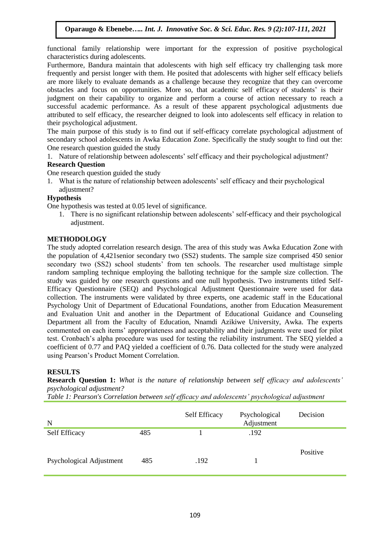functional family relationship were important for the expression of positive psychological characteristics during adolescents.

Furthermore, Bandura maintain that adolescents with high self efficacy try challenging task more frequently and persist longer with them. He posited that adolescents with higher self efficacy beliefs are more likely to evaluate demands as a challenge because they recognize that they can overcome obstacles and focus on opportunities. More so, that academic self efficacy of students" is their judgment on their capability to organize and perform a course of action necessary to reach a successful academic performance. As a result of these apparent psychological adjustments due attributed to self efficacy, the researcher deigned to look into adolescents self efficacy in relation to their psychological adjustment.

The main purpose of this study is to find out if self-efficacy correlate psychological adjustment of secondary school adolescents in Awka Education Zone. Specifically the study sought to find out the: One research question guided the study

1. Nature of relationship between adolescents" self efficacy and their psychological adjustment? **Research Question**

One research question guided the study

1. What is the nature of relationship between adolescents" self efficacy and their psychological adjustment?

# **Hypothesis**

One hypothesis was tested at 0.05 level of significance.

1. There is no significant relationship between adolescents" self-efficacy and their psychological adjustment.

# **METHODOLOGY**

The study adopted correlation research design. The area of this study was Awka Education Zone with the population of 4,421senior secondary two (SS2) students. The sample size comprised 450 senior secondary two (SS2) school students' from ten schools. The researcher used multistage simple random sampling technique employing the balloting technique for the sample size collection. The study was guided by one research questions and one null hypothesis. Two instruments titled Self-Efficacy Questionnaire (SEQ) and Psychological Adjustment Questionnaire were used for data collection. The instruments were validated by three experts, one academic staff in the Educational Psychology Unit of Department of Educational Foundations, another from Education Measurement and Evaluation Unit and another in the Department of Educational Guidance and Counseling Department all from the Faculty of Education, Nnamdi Azikiwe University, Awka. The experts commented on each items" appropriateness and acceptability and their judgments were used for pilot test. Cronbach"s alpha procedure was used for testing the reliability instrument. The SEQ yielded a coefficient of 0.77 and PAQ yielded a coefficient of 0.76. Data collected for the study were analyzed using Pearson"s Product Moment Correlation.

# **RESULTS**

**Research Question 1:** *What is the nature of relationship between self efficacy and adolescents' psychological adjustment?*

*Table 1: Pearson's Correlation between self efficacy and adolescents' psychological adjustment* 

| N                        |     | Self Efficacy | Psychological<br>Adjustment | Decision |
|--------------------------|-----|---------------|-----------------------------|----------|
| <b>Self Efficacy</b>     | 485 |               | .192                        |          |
| Psychological Adjustment | 485 | .192          |                             | Positive |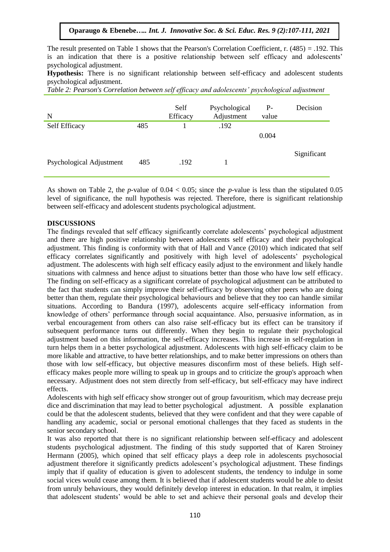# **Oparaugo & Ebenebe***….. Int. J. Innovative Soc. & Sci. Educ. Res. 9 (2):107-111, 2021*

The result presented on Table 1 shows that the Pearson's Correlation Coefficient, r. (485) = .192. This is an indication that there is a positive relationship between self efficacy and adolescents' psychological adjustment.

**Hypothesis:** There is no significant relationship between self-efficacy and adolescent students psychological adjustment.

*Table 2: Pearson's Correlation between self efficacy and adolescents' psychological adjustment* 

| N                        |     | Self<br>Efficacy | Psychological<br>Adjustment | $P-$<br>value | Decision    |
|--------------------------|-----|------------------|-----------------------------|---------------|-------------|
| Self Efficacy            | 485 |                  | .192                        |               |             |
|                          |     |                  |                             | 0.004         |             |
|                          |     |                  |                             |               |             |
| Psychological Adjustment | 485 | .192             |                             |               | Significant |

As shown on Table 2, the *p-*value of 0.04 < 0.05; since the *p-*value is less than the stipulated 0.05 level of significance, the null hypothesis was rejected. Therefore, there is significant relationship between self-efficacy and adolescent students psychological adjustment.

#### **DISCUSSIONS**

The findings revealed that self efficacy significantly correlate adolescents" psychological adjustment and there are high positive relationship between adolescents self efficacy and their psychological adjustment. This finding is conformity with that of Hall and Vance (2010) which indicated that self efficacy correlates significantly and positively with high level of adolescents" psychological adjustment. The adolescents with high self efficacy easily adjust to the environment and likely handle situations with calmness and hence adjust to situations better than those who have low self efficacy. The finding on self-efficacy as a significant correlate of psychological adjustment can be attributed to the fact that students can simply improve their self-efficacy by observing other peers who are doing better than them, regulate their psychological behaviours and believe that they too can handle similar situations. According to Bandura (1997), adolescents acquire self-efficacy information from knowledge of others" performance through social acquaintance. Also, persuasive information, as in verbal encouragement from others can also raise self-efficacy but its effect can be transitory if subsequent performance turns out differently. When they begin to regulate their psychological adjustment based on this information, the self-efficacy increases. This increase in self-regulation in turn helps them in a better psychological adjustment. Adolescents with high self-efficacy claim to be more likable and attractive, to have better relationships, and to make better impressions on others than those with low self-efficacy, but objective measures disconfirm most of these beliefs. High selfefficacy makes people more willing to speak up in groups and to criticize the group's approach when necessary. Adjustment does not stem directly from self-efficacy, but self-efficacy may have indirect effects.

Adolescents with high self efficacy show stronger out of group favouritism, which may decrease preju dice and discrimination that may lead to better psychological adjustment. A possible explanation could be that the adolescent students, believed that they were confident and that they were capable of handling any academic, social or personal emotional challenges that they faced as students in the senior secondary school.

It was also reported that there is no significant relationship between self-efficacy and adolescent students psychological adjustment. The finding of this study supported that of Karen Stroiney Hermann (2005), which opined that self efficacy plays a deep role in adolescents psychosocial adjustment therefore it significantly predicts adolescent"s psychological adjustment. These findings imply that if quality of education is given to adolescent students, the tendency to indulge in some social vices would cease among them. It is believed that if adolescent students would be able to desist from unruly behaviours, they would definitely develop interest in education. In that realm, it implies that adolescent students" would be able to set and achieve their personal goals and develop their